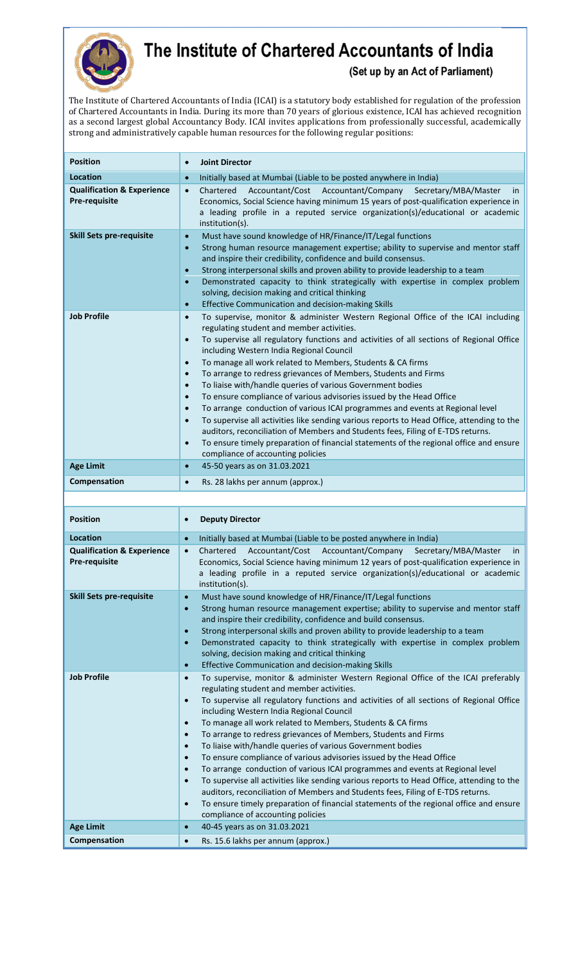

## The Institute of Chartered Accountants of India

(Set up by an Act of Parliament)

The Institute of Chartered Accountants of India (ICAI) is a statutory body established for regulation of the profession of Chartered Accountants in India. During its more than 70 years of glorious existence, ICAI has achieved recognition as a second largest global Accountancy Body. ICAI invites applications from professionally successful, academically strong and administratively capable human resources for the following regular positions:

| <b>Position</b>                                        | <b>Joint Director</b><br>$\bullet$                                                                                                                                                                                                                                                                                                                                                                                                                                                                                                                                                                                                                                                                                                                                                                                                                                                                                                                                                                                                                               |
|--------------------------------------------------------|------------------------------------------------------------------------------------------------------------------------------------------------------------------------------------------------------------------------------------------------------------------------------------------------------------------------------------------------------------------------------------------------------------------------------------------------------------------------------------------------------------------------------------------------------------------------------------------------------------------------------------------------------------------------------------------------------------------------------------------------------------------------------------------------------------------------------------------------------------------------------------------------------------------------------------------------------------------------------------------------------------------------------------------------------------------|
| <b>Location</b>                                        | Initially based at Mumbai (Liable to be posted anywhere in India)<br>$\bullet$                                                                                                                                                                                                                                                                                                                                                                                                                                                                                                                                                                                                                                                                                                                                                                                                                                                                                                                                                                                   |
| <b>Qualification &amp; Experience</b><br>Pre-requisite | Chartered<br>Accountant/Cost Accountant/Company<br>Secretary/MBA/Master<br>$\bullet$<br><i>in</i><br>Economics, Social Science having minimum 15 years of post-qualification experience in<br>a leading profile in a reputed service organization(s)/educational or academic<br>institution(s).                                                                                                                                                                                                                                                                                                                                                                                                                                                                                                                                                                                                                                                                                                                                                                  |
| <b>Skill Sets pre-requisite</b>                        | Must have sound knowledge of HR/Finance/IT/Legal functions<br>$\bullet$<br>Strong human resource management expertise; ability to supervise and mentor staff<br>$\bullet$<br>and inspire their credibility, confidence and build consensus.<br>Strong interpersonal skills and proven ability to provide leadership to a team<br>$\bullet$<br>Demonstrated capacity to think strategically with expertise in complex problem<br>$\bullet$<br>solving, decision making and critical thinking<br>Effective Communication and decision-making Skills<br>$\bullet$                                                                                                                                                                                                                                                                                                                                                                                                                                                                                                   |
| <b>Job Profile</b>                                     | To supervise, monitor & administer Western Regional Office of the ICAI including<br>$\bullet$<br>regulating student and member activities.<br>To supervise all regulatory functions and activities of all sections of Regional Office<br>$\bullet$<br>including Western India Regional Council<br>To manage all work related to Members, Students & CA firms<br>$\bullet$<br>To arrange to redress grievances of Members, Students and Firms<br>$\bullet$<br>To liaise with/handle queries of various Government bodies<br>$\bullet$<br>To ensure compliance of various advisories issued by the Head Office<br>$\bullet$<br>To arrange conduction of various ICAI programmes and events at Regional level<br>$\bullet$<br>To supervise all activities like sending various reports to Head Office, attending to the<br>$\bullet$<br>auditors, reconciliation of Members and Students fees, Filing of E-TDS returns.<br>To ensure timely preparation of financial statements of the regional office and ensure<br>$\bullet$<br>compliance of accounting policies |
| <b>Age Limit</b>                                       | 45-50 years as on 31.03.2021<br>$\bullet$                                                                                                                                                                                                                                                                                                                                                                                                                                                                                                                                                                                                                                                                                                                                                                                                                                                                                                                                                                                                                        |
| Compensation                                           | Rs. 28 lakhs per annum (approx.)<br>$\bullet$                                                                                                                                                                                                                                                                                                                                                                                                                                                                                                                                                                                                                                                                                                                                                                                                                                                                                                                                                                                                                    |
|                                                        |                                                                                                                                                                                                                                                                                                                                                                                                                                                                                                                                                                                                                                                                                                                                                                                                                                                                                                                                                                                                                                                                  |
|                                                        |                                                                                                                                                                                                                                                                                                                                                                                                                                                                                                                                                                                                                                                                                                                                                                                                                                                                                                                                                                                                                                                                  |

| <b>Position</b>                                        | <b>Deputy Director</b>                                                                                                                                                                                                                                                                                                                                                                                                                                                                                                                                                                                                                                                                                                                                                                                                                                                                                                                                                                                                                                            |
|--------------------------------------------------------|-------------------------------------------------------------------------------------------------------------------------------------------------------------------------------------------------------------------------------------------------------------------------------------------------------------------------------------------------------------------------------------------------------------------------------------------------------------------------------------------------------------------------------------------------------------------------------------------------------------------------------------------------------------------------------------------------------------------------------------------------------------------------------------------------------------------------------------------------------------------------------------------------------------------------------------------------------------------------------------------------------------------------------------------------------------------|
| <b>Location</b>                                        | Initially based at Mumbai (Liable to be posted anywhere in India)<br>$\bullet$                                                                                                                                                                                                                                                                                                                                                                                                                                                                                                                                                                                                                                                                                                                                                                                                                                                                                                                                                                                    |
| <b>Qualification &amp; Experience</b><br>Pre-requisite | Accountant/Cost Accountant/Company Secretary/MBA/Master<br>Chartered<br><i>in</i><br>$\bullet$<br>Economics, Social Science having minimum 12 years of post-qualification experience in<br>a leading profile in a reputed service organization(s)/educational or academic<br>institution(s).                                                                                                                                                                                                                                                                                                                                                                                                                                                                                                                                                                                                                                                                                                                                                                      |
| <b>Skill Sets pre-requisite</b>                        | Must have sound knowledge of HR/Finance/IT/Legal functions<br>$\bullet$<br>Strong human resource management expertise; ability to supervise and mentor staff<br>$\bullet$<br>and inspire their credibility, confidence and build consensus.<br>Strong interpersonal skills and proven ability to provide leadership to a team<br>$\bullet$<br>Demonstrated capacity to think strategically with expertise in complex problem<br>$\bullet$<br>solving, decision making and critical thinking<br>Effective Communication and decision-making Skills<br>$\bullet$                                                                                                                                                                                                                                                                                                                                                                                                                                                                                                    |
| <b>Job Profile</b>                                     | To supervise, monitor & administer Western Regional Office of the ICAI preferably<br>$\bullet$<br>regulating student and member activities.<br>To supervise all regulatory functions and activities of all sections of Regional Office<br>$\bullet$<br>including Western India Regional Council<br>To manage all work related to Members, Students & CA firms<br>$\bullet$<br>To arrange to redress grievances of Members, Students and Firms<br>$\bullet$<br>To liaise with/handle queries of various Government bodies<br>$\bullet$<br>To ensure compliance of various advisories issued by the Head Office<br>$\bullet$<br>To arrange conduction of various ICAI programmes and events at Regional level<br>$\bullet$<br>To supervise all activities like sending various reports to Head Office, attending to the<br>$\bullet$<br>auditors, reconciliation of Members and Students fees, Filing of E-TDS returns.<br>To ensure timely preparation of financial statements of the regional office and ensure<br>$\bullet$<br>compliance of accounting policies |
| <b>Age Limit</b>                                       | 40-45 years as on 31.03.2021<br>$\bullet$                                                                                                                                                                                                                                                                                                                                                                                                                                                                                                                                                                                                                                                                                                                                                                                                                                                                                                                                                                                                                         |
| Compensation                                           | Rs. 15.6 lakhs per annum (approx.)                                                                                                                                                                                                                                                                                                                                                                                                                                                                                                                                                                                                                                                                                                                                                                                                                                                                                                                                                                                                                                |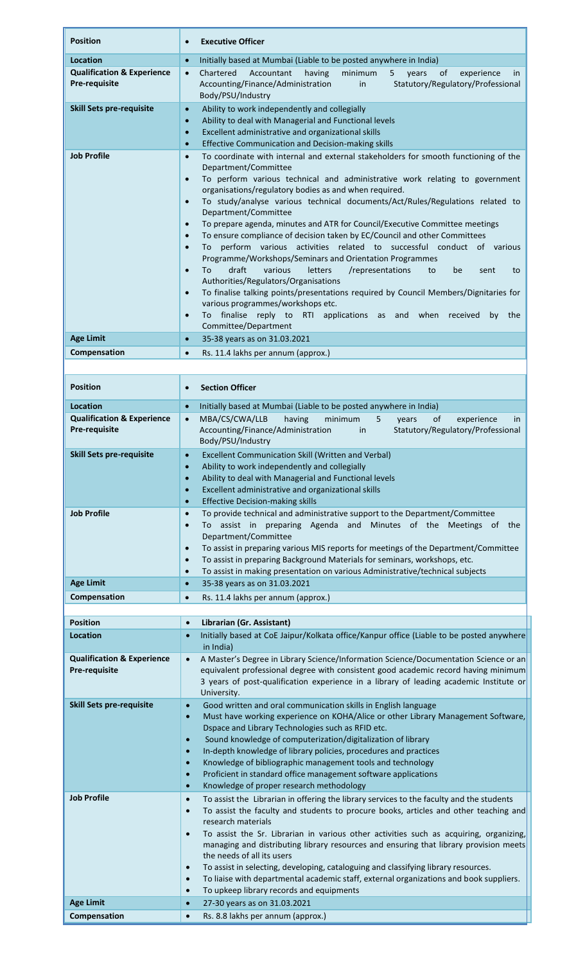| <b>Position</b>                                        | <b>Executive Officer</b><br>$\bullet$                                                                                                                                                     |
|--------------------------------------------------------|-------------------------------------------------------------------------------------------------------------------------------------------------------------------------------------------|
| Location                                               | Initially based at Mumbai (Liable to be posted anywhere in India)<br>$\bullet$                                                                                                            |
| <b>Qualification &amp; Experience</b>                  | Chartered<br>Accountant<br>having<br>minimum<br>of<br>$\bullet$<br>years<br>experience<br>in<br>5                                                                                         |
| <b>Pre-requisite</b>                                   | Statutory/Regulatory/Professional<br>Accounting/Finance/Administration<br>in<br>Body/PSU/Industry                                                                                         |
| <b>Skill Sets pre-requisite</b>                        | Ability to work independently and collegially<br>$\bullet$<br>Ability to deal with Managerial and Functional levels<br>$\bullet$                                                          |
|                                                        | Excellent administrative and organizational skills<br>$\bullet$                                                                                                                           |
|                                                        | Effective Communication and Decision-making skills<br>$\bullet$                                                                                                                           |
| <b>Job Profile</b>                                     | To coordinate with internal and external stakeholders for smooth functioning of the<br>$\bullet$<br>Department/Committee                                                                  |
|                                                        | To perform various technical and administrative work relating to government<br>$\bullet$                                                                                                  |
|                                                        | organisations/regulatory bodies as and when required.                                                                                                                                     |
|                                                        | To study/analyse various technical documents/Act/Rules/Regulations related to<br>$\bullet$<br>Department/Committee                                                                        |
|                                                        | To prepare agenda, minutes and ATR for Council/Executive Committee meetings<br>$\bullet$                                                                                                  |
|                                                        | To ensure compliance of decision taken by EC/Council and other Committees<br>$\bullet$                                                                                                    |
|                                                        | To perform various activities related to successful conduct of various<br>$\bullet$<br>Programme/Workshops/Seminars and Orientation Programmes                                            |
|                                                        | draft<br>To<br>various<br>letters<br>/representations<br>to<br>be<br>$\bullet$<br>sent<br>to                                                                                              |
|                                                        | Authorities/Regulators/Organisations                                                                                                                                                      |
|                                                        | To finalise talking points/presentations required by Council Members/Dignitaries for<br>$\bullet$<br>various programmes/workshops etc.                                                    |
|                                                        | finalise reply to RTI<br>applications as and when<br>$\bullet$<br>To<br>received<br>by<br>the                                                                                             |
|                                                        | Committee/Department                                                                                                                                                                      |
| <b>Age Limit</b>                                       | 35-38 years as on 31.03.2021<br>$\bullet$                                                                                                                                                 |
| Compensation                                           | Rs. 11.4 lakhs per annum (approx.)<br>$\bullet$                                                                                                                                           |
|                                                        |                                                                                                                                                                                           |
| <b>Position</b>                                        | <b>Section Officer</b><br>$\bullet$                                                                                                                                                       |
| Location                                               | Initially based at Mumbai (Liable to be posted anywhere in India)<br>$\bullet$                                                                                                            |
| <b>Qualification &amp; Experience</b><br>Pre-requisite | MBA/CS/CWA/LLB<br>having<br>minimum<br>5<br>of<br>$\bullet$<br>years<br>experience<br>in                                                                                                  |
|                                                        | Accounting/Finance/Administration<br>Statutory/Regulatory/Professional<br>in<br>Body/PSU/Industry                                                                                         |
| <b>Skill Sets pre-requisite</b>                        | <b>Excellent Communication Skill (Written and Verbal)</b>                                                                                                                                 |
|                                                        | Ability to work independently and collegially<br>$\bullet$                                                                                                                                |
|                                                        | Ability to deal with Managerial and Functional levels<br>$\bullet$<br>Excellent administrative and organizational skills<br>$\bullet$                                                     |
|                                                        | <b>Effective Decision-making skills</b><br>$\bullet$                                                                                                                                      |
| <b>Job Profile</b>                                     | To provide technical and administrative support to the Department/Committee<br>$\bullet$                                                                                                  |
|                                                        | To assist in preparing Agenda and Minutes of the Meetings of the<br>$\bullet$<br>Department/Committee                                                                                     |
|                                                        | To assist in preparing various MIS reports for meetings of the Department/Committee<br>$\bullet$                                                                                          |
|                                                        | To assist in preparing Background Materials for seminars, workshops, etc.<br>$\bullet$                                                                                                    |
| <b>Age Limit</b>                                       | To assist in making presentation on various Administrative/technical subjects<br>$\bullet$<br>35-38 years as on 31.03.2021<br>$\bullet$                                                   |
| Compensation                                           | Rs. 11.4 lakhs per annum (approx.)<br>$\bullet$                                                                                                                                           |
|                                                        |                                                                                                                                                                                           |
| <b>Position</b>                                        | Librarian (Gr. Assistant)<br>$\bullet$                                                                                                                                                    |
| <b>Location</b>                                        | Initially based at CoE Jaipur/Kolkata office/Kanpur office (Liable to be posted anywhere<br>in India)                                                                                     |
| <b>Qualification &amp; Experience</b>                  | A Master's Degree in Library Science/Information Science/Documentation Science or an<br>$\bullet$                                                                                         |
| <b>Pre-requisite</b>                                   | equivalent professional degree with consistent good academic record having minimum                                                                                                        |
|                                                        | 3 years of post-qualification experience in a library of leading academic Institute or<br>University.                                                                                     |
| <b>Skill Sets pre-requisite</b>                        | Good written and oral communication skills in English language<br>$\bullet$                                                                                                               |
|                                                        | Must have working experience on KOHA/Alice or other Library Management Software,<br>$\bullet$                                                                                             |
|                                                        | Dspace and Library Technologies such as RFID etc.<br>Sound knowledge of computerization/digitalization of library<br>$\bullet$                                                            |
|                                                        | In-depth knowledge of library policies, procedures and practices<br>$\bullet$                                                                                                             |
|                                                        | Knowledge of bibliographic management tools and technology<br>$\bullet$                                                                                                                   |
|                                                        | Proficient in standard office management software applications<br>$\bullet$<br>Knowledge of proper research methodology<br>$\bullet$                                                      |
| <b>Job Profile</b>                                     | To assist the Librarian in offering the library services to the faculty and the students<br>$\bullet$                                                                                     |
|                                                        | To assist the faculty and students to procure books, articles and other teaching and<br>$\bullet$                                                                                         |
|                                                        | research materials<br>To assist the Sr. Librarian in various other activities such as acquiring, organizing,<br>$\bullet$                                                                 |
|                                                        | managing and distributing library resources and ensuring that library provision meets                                                                                                     |
|                                                        | the needs of all its users                                                                                                                                                                |
|                                                        | To assist in selecting, developing, cataloguing and classifying library resources.<br>To liaise with departmental academic staff, external organizations and book suppliers.<br>$\bullet$ |
|                                                        | To upkeep library records and equipments                                                                                                                                                  |
| <b>Age Limit</b>                                       | 27-30 years as on 31.03.2021                                                                                                                                                              |
| Compensation                                           | Rs. 8.8 lakhs per annum (approx.)<br>$\bullet$                                                                                                                                            |